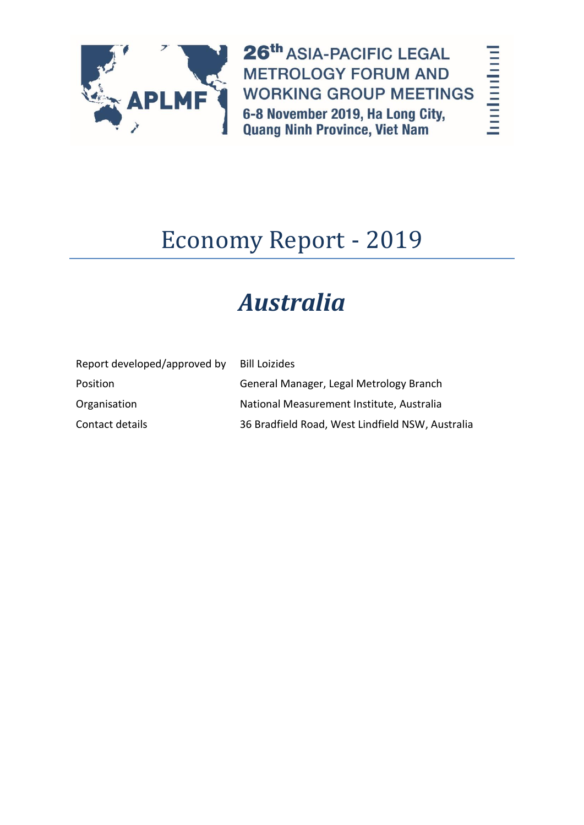

26th ASIA-PACIFIC LEGAL **METROLOGY FORUM AND WORKING GROUP MEETINGS** 6-8 November 2019, Ha Long City,<br>Quang Ninh Province, Viet Nam

# Economy Report - 2019

# *Australia*

| Report developed/approved by | <b>Bill Loizides</b>                             |
|------------------------------|--------------------------------------------------|
| Position                     | General Manager, Legal Metrology Branch          |
| Organisation                 | National Measurement Institute, Australia        |
| Contact details              | 36 Bradfield Road, West Lindfield NSW, Australia |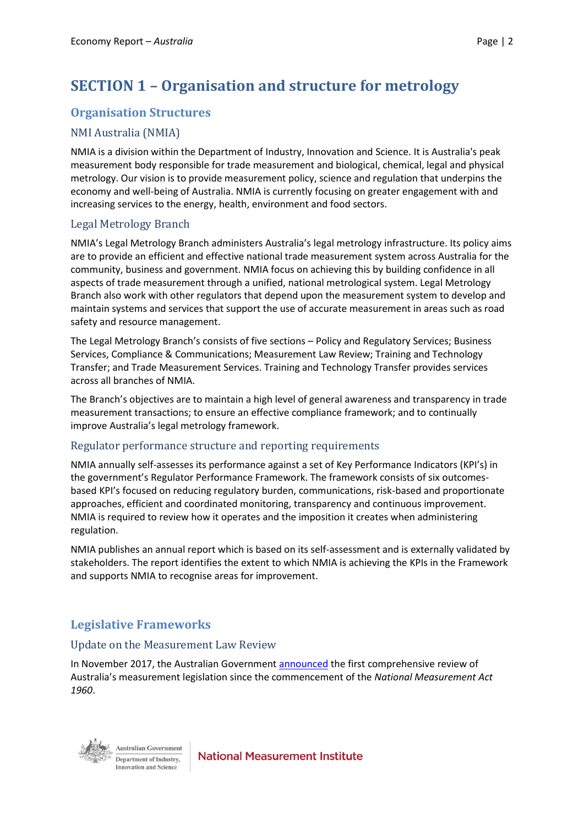# **SECTION 1 – Organisation and structure for metrology**

# **Organisation Structures**

#### NMI Australia (NMIA)

NMIA is a division within the Department of Industry, Innovation and Science. It is Australia's peak measurement body responsible for trade measurement and biological, chemical, legal and physical metrology. Our vision is to provide measurement policy, science and regulation that underpins the economy and well-being of Australia. NMIA is currently focusing on greater engagement with and increasing services to the energy, health, environment and food sectors.

#### Legal Metrology Branch

NMIA's Legal Metrology Branch administers Australia's legal metrology infrastructure. Its policy aims are to provide an efficient and effective national trade measurement system across Australia for the community, business and government. NMIA focus on achieving this by building confidence in all aspects of trade measurement through a unified, national metrological system. Legal Metrology Branch also work with other regulators that depend upon the measurement system to develop and maintain systems and services that support the use of accurate measurement in areas such as road safety and resource management.

The Legal Metrology Branch's consists of five sections – Policy and Regulatory Services; Business Services, Compliance & Communications; Measurement Law Review; Training and Technology Transfer; and Trade Measurement Services. Training and Technology Transfer provides services across all branches of NMIA.

The Branch's objectives are to maintain a high level of general awareness and transparency in trade measurement transactions; to ensure an effective compliance framework; and to continually improve Australia's legal metrology framework.

#### Regulator performance structure and reporting requirements

NMIA annually self-assesses its performance against a set of Key Performance Indicators (KPI's) in the government's Regulator Performance Framework. The framework consists of six outcomesbased KPI's focused on reducing regulatory burden, communications, risk-based and proportionate approaches, efficient and coordinated monitoring, transparency and continuous improvement. NMIA is required to review how it operates and the imposition it creates when administering regulation.

NMIA publishes an annual report which is based on its self-assessment and is externally validated by stakeholders. The report identifies the extent to which NMIA is achieving the KPIs in the Framework and supports NMIA to recognise areas for improvement.

# **Legislative Frameworks**

#### Update on the Measurement Law Review

In November 2017, the Australian Governmen[t announced](https://www.minister.industry.gov.au/ministers/craiglaundy/media-releases/measurement-it-rules) the first comprehensive review of Australia's measurement legislation since the commencement of the *National Measurement Act 1960*.



**Australian Government** Department of Industry. Innovation and Science

**National Measurement Institute**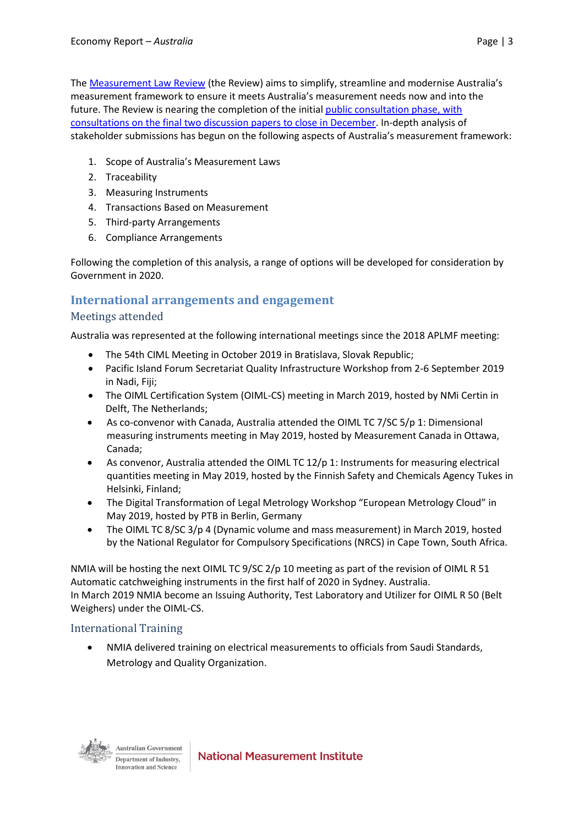The [Measurement Law Review](https://www.industry.gov.au/regulation-and-standards/measurement-standards/measurement-law-review) (the Review) aims to simplify, streamline and modernise Australia's measurement framework to ensure it meets Australia's measurement needs now and into the future. The Review is nearing the completion of the initial [public consultation phase,](https://www.minister.industry.gov.au/ministers/seselja/media-releases/public-consultation-commences-australias-measurement-laws) with consultations on the final two discussion papers to close in December. In-depth analysis of stakeholder submissions has begun on the following aspects of Australia's measurement framework:

- 1. Scope of Australia's Measurement Laws
- 2. Traceability
- 3. Measuring Instruments
- 4. Transactions Based on Measurement
- 5. Third-party Arrangements
- 6. Compliance Arrangements

Following the completion of this analysis, a range of options will be developed for consideration by Government in 2020.

### **International arrangements and engagement**

#### Meetings attended

Australia was represented at the following international meetings since the 2018 APLMF meeting:

- The 54th CIML Meeting in October 2019 in Bratislava, Slovak Republic;
- Pacific Island Forum Secretariat Quality Infrastructure Workshop from 2-6 September 2019 in Nadi, Fiji;
- The OIML Certification System (OIML-CS) meeting in March 2019, hosted by NMi Certin in Delft, The Netherlands;
- As co-convenor with Canada, Australia attended the OIML TC 7/SC 5/p 1: Dimensional measuring instruments meeting in May 2019, hosted by Measurement Canada in Ottawa, Canada;
- As convenor, Australia attended the OIML TC 12/p 1: Instruments for measuring electrical quantities meeting in May 2019, hosted by the Finnish Safety and Chemicals Agency Tukes in Helsinki, Finland;
- The Digital Transformation of Legal Metrology Workshop "European Metrology Cloud" in May 2019, hosted by PTB in Berlin, Germany
- The OIML TC 8/SC 3/p 4 (Dynamic volume and mass measurement) in March 2019, hosted by the National Regulator for Compulsory Specifications (NRCS) in Cape Town, South Africa.

NMIA will be hosting the next OIML TC 9/SC 2/p 10 meeting as part of the revision of OIML R 51 Automatic catchweighing instruments in the first half of 2020 in Sydney. Australia. In March 2019 NMIA become an Issuing Authority, Test Laboratory and Utilizer for OIML R 50 (Belt Weighers) under the OIML-CS.

#### International Training

 NMIA delivered training on electrical measurements to officials from Saudi Standards, Metrology and Quality Organization.

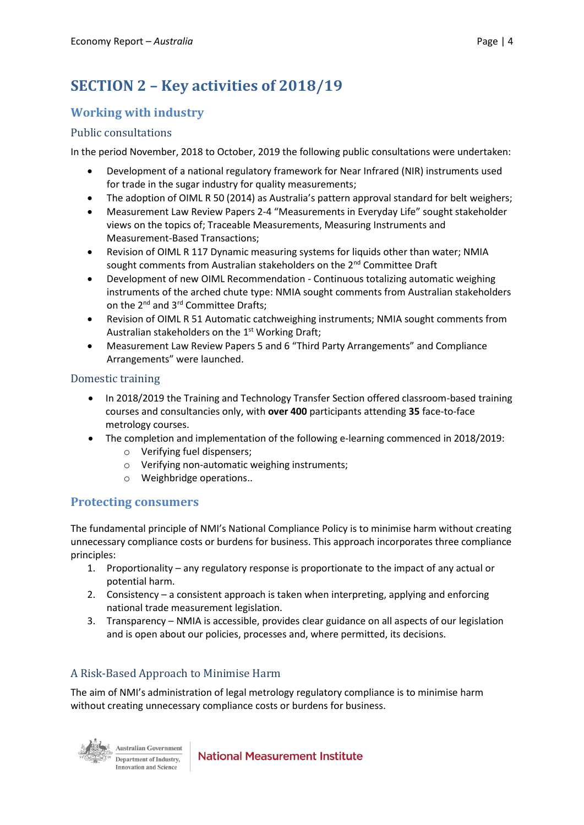# **SECTION 2 – Key activities of 2018/19**

## **Working with industry**

#### Public consultations

In the period November, 2018 to October, 2019 the following public consultations were undertaken:

- Development of a national regulatory framework for Near Infrared (NIR) instruments used for trade in the sugar industry for quality measurements;
- The adoption of OIML R 50 (2014) as Australia's pattern approval standard for belt weighers;
- Measurement Law Review Papers 2-4 "Measurements in Everyday Life" sought stakeholder views on the topics of; Traceable Measurements, Measuring Instruments and Measurement-Based Transactions;
- Revision of OIML R 117 Dynamic measuring systems for liquids other than water; NMIA sought comments from Australian stakeholders on the 2<sup>nd</sup> Committee Draft
- Development of new OIML Recommendation Continuous totalizing automatic weighing instruments of the arched chute type: NMIA sought comments from Australian stakeholders on the 2<sup>nd</sup> and 3<sup>rd</sup> Committee Drafts;
- Revision of OIML R 51 Automatic catchweighing instruments; NMIA sought comments from Australian stakeholders on the 1<sup>st</sup> Working Draft;
- Measurement Law Review Papers 5 and 6 "Third Party Arrangements" and Compliance Arrangements" were launched.

#### Domestic training

- In 2018/2019 the Training and Technology Transfer Section offered classroom-based training courses and consultancies only, with **over 400** participants attending **35** face-to-face metrology courses.
- The completion and implementation of the following e-learning commenced in 2018/2019:
	- o Verifying fuel dispensers;
	- o Verifying non-automatic weighing instruments;
	- o Weighbridge operations..

#### **Protecting consumers**

The fundamental principle of NMI's National Compliance Policy is to minimise harm without creating unnecessary compliance costs or burdens for business. This approach incorporates three compliance principles:

- 1. Proportionality any regulatory response is proportionate to the impact of any actual or potential harm.
- 2. Consistency a consistent approach is taken when interpreting, applying and enforcing national trade measurement legislation.
- 3. Transparency NMIA is accessible, provides clear guidance on all aspects of our legislation and is open about our policies, processes and, where permitted, its decisions.

### A Risk-Based Approach to Minimise Harm

The aim of NMI's administration of legal metrology regulatory compliance is to minimise harm without creating unnecessary compliance costs or burdens for business.



**Australian Government Department of Industry.** Innovation and Science

**National Measurement Institute**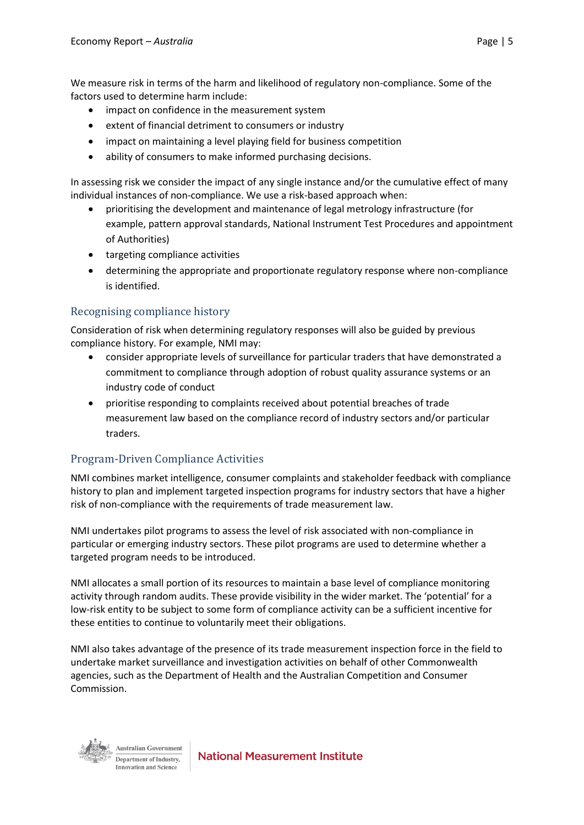We measure risk in terms of the harm and likelihood of regulatory non-compliance. Some of the factors used to determine harm include:

- impact on confidence in the measurement system
- extent of financial detriment to consumers or industry
- impact on maintaining a level playing field for business competition
- ability of consumers to make informed purchasing decisions.

In assessing risk we consider the impact of any single instance and/or the cumulative effect of many individual instances of non-compliance. We use a risk-based approach when:

- prioritising the development and maintenance of legal metrology infrastructure (for example, pattern approval standards, National Instrument Test Procedures and appointment of Authorities)
- targeting compliance activities
- determining the appropriate and proportionate regulatory response where non-compliance is identified.

#### Recognising compliance history

Consideration of risk when determining regulatory responses will also be guided by previous compliance history. For example, NMI may:

- consider appropriate levels of surveillance for particular traders that have demonstrated a commitment to compliance through adoption of robust quality assurance systems or an industry code of conduct
- prioritise responding to complaints received about potential breaches of trade measurement law based on the compliance record of industry sectors and/or particular traders.

#### Program-Driven Compliance Activities

NMI combines market intelligence, consumer complaints and stakeholder feedback with compliance history to plan and implement targeted inspection programs for industry sectors that have a higher risk of non-compliance with the requirements of trade measurement law.

NMI undertakes pilot programs to assess the level of risk associated with non-compliance in particular or emerging industry sectors. These pilot programs are used to determine whether a targeted program needs to be introduced.

NMI allocates a small portion of its resources to maintain a base level of compliance monitoring activity through random audits. These provide visibility in the wider market. The 'potential' for a low-risk entity to be subject to some form of compliance activity can be a sufficient incentive for these entities to continue to voluntarily meet their obligations.

NMI also takes advantage of the presence of its trade measurement inspection force in the field to undertake market surveillance and investigation activities on behalf of other Commonwealth agencies, such as the Department of Health and the Australian Competition and Consumer Commission.



**Australian Government** Department of Industry. Innovation and Science

**National Measurement Institute**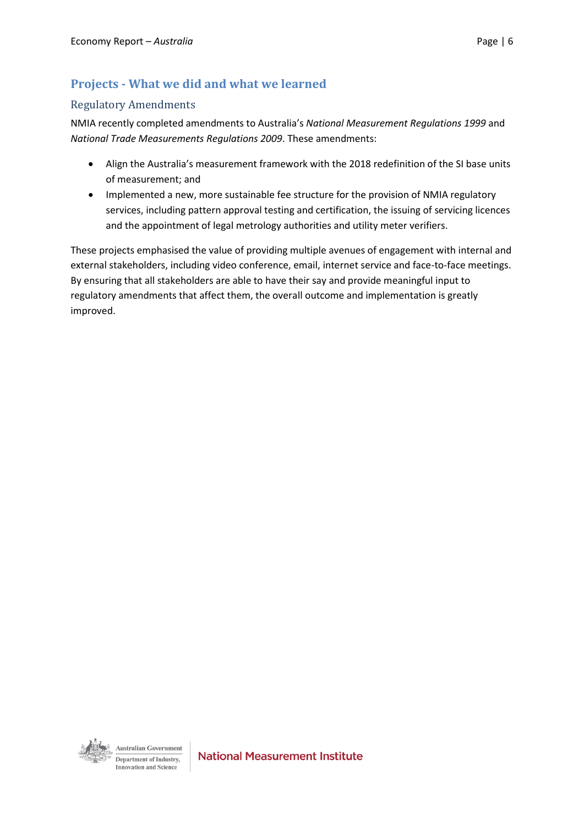## **Projects - What we did and what we learned**

#### Regulatory Amendments

NMIA recently completed amendments to Australia's *National Measurement Regulations 1999* and *National Trade Measurements Regulations 2009*. These amendments:

- Align the Australia's measurement framework with the 2018 redefinition of the SI base units of measurement; and
- Implemented a new, more sustainable fee structure for the provision of NMIA regulatory services, including pattern approval testing and certification, the issuing of servicing licences and the appointment of legal metrology authorities and utility meter verifiers.

These projects emphasised the value of providing multiple avenues of engagement with internal and external stakeholders, including video conference, email, internet service and face-to-face meetings. By ensuring that all stakeholders are able to have their say and provide meaningful input to regulatory amendments that affect them, the overall outcome and implementation is greatly improved.

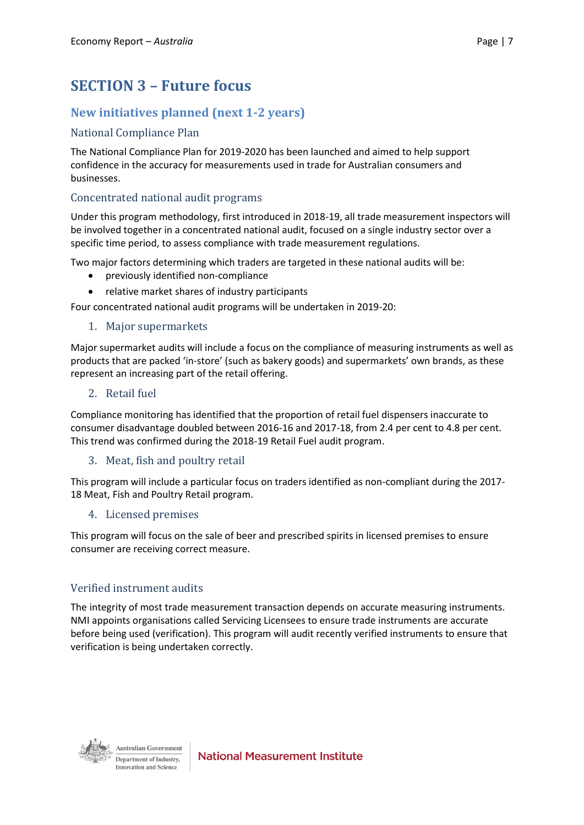# **SECTION 3 – Future focus**

# **New initiatives planned (next 1-2 years)**

#### National Compliance Plan

The National Compliance Plan for 2019-2020 has been launched and aimed to help support confidence in the accuracy for measurements used in trade for Australian consumers and businesses.

#### Concentrated national audit programs

Under this program methodology, first introduced in 2018-19, all trade measurement inspectors will be involved together in a concentrated national audit, focused on a single industry sector over a specific time period, to assess compliance with trade measurement regulations.

Two major factors determining which traders are targeted in these national audits will be:

- previously identified non-compliance
- relative market shares of industry participants

Four concentrated national audit programs will be undertaken in 2019-20:

#### 1. Major supermarkets

Major supermarket audits will include a focus on the compliance of measuring instruments as well as products that are packed 'in-store' (such as bakery goods) and supermarkets' own brands, as these represent an increasing part of the retail offering.

#### 2. Retail fuel

Compliance monitoring has identified that the proportion of retail fuel dispensers inaccurate to consumer disadvantage doubled between 2016-16 and 2017-18, from 2.4 per cent to 4.8 per cent. This trend was confirmed during the 2018-19 Retail Fuel audit program.

#### 3. Meat, fish and poultry retail

This program will include a particular focus on traders identified as non-compliant during the 2017- 18 Meat, Fish and Poultry Retail program.

#### 4. Licensed premises

This program will focus on the sale of beer and prescribed spirits in licensed premises to ensure consumer are receiving correct measure.

#### Verified instrument audits

The integrity of most trade measurement transaction depends on accurate measuring instruments. NMI appoints organisations called Servicing Licensees to ensure trade instruments are accurate before being used (verification). This program will audit recently verified instruments to ensure that verification is being undertaken correctly.



**Australian Government** Department of Industry. Innovation and Science